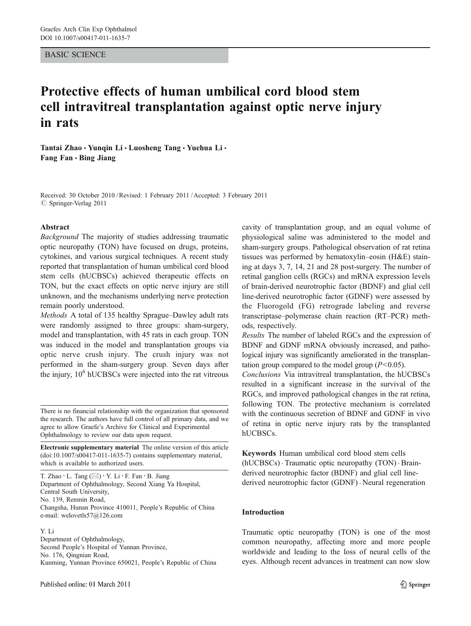## BASIC SCIENCE

# Protective effects of human umbilical cord blood stem cell intravitreal transplantation against optic nerve injury in rats

Tantai Zhao · Yunqin Li · Luosheng Tang · Yuehua Li · Fang  $Fan·Bing$  Jiang

Received: 30 October 2010 /Revised: 1 February 2011 /Accepted: 3 February 2011  $©$  Springer-Verlag 2011

#### Abstract

Background The majority of studies addressing traumatic optic neuropathy (TON) have focused on drugs, proteins, cytokines, and various surgical techniques. A recent study reported that transplantation of human umbilical cord blood stem cells (hUCBSCs) achieved therapeutic effects on TON, but the exact effects on optic nerve injury are still unknown, and the mechanisms underlying nerve protection remain poorly understood.

Methods A total of 135 healthy Sprague–Dawley adult rats were randomly assigned to three groups: sham-surgery, model and transplantation, with 45 rats in each group. TON was induced in the model and transplantation groups via optic nerve crush injury. The crush injury was not performed in the sham-surgery group. Seven days after the injury,  $10<sup>6</sup>$  hUCBSCs were injected into the rat vitreous

There is no financial relationship with the organization that sponsored the research. The authors have full control of all primary data, and we agree to allow Graefe's Archive for Clinical and Experimental Ophthalmology to review our data upon request.

Electronic supplementary material The online version of this article (doi:[10.1007/s00417-011-1635-7\)](http://dx.doi.org/10.1007/s00417-011-1635-7) contains supplementary material, which is available to authorized users.

T. Zhao  $\cdot$  L. Tang  $(\boxtimes) \cdot$  Y. Li  $\cdot$  F. Fan  $\cdot$  B. Jiang Department of Ophthalmology, Second Xiang Ya Hospital, Central South University, No. 139, Renmin Road, Changsha, Hunan Province 410011, People's Republic of China e-mail: welovetls57@126.com

Y. Li

Department of Ophthalmology, Second People's Hospital of Yunnan Province, No. 176, Qingnian Road, Kunming, Yunnan Province 650021, People's Republic of China cavity of transplantation group, and an equal volume of physiological saline was administered to the model and sham-surgery groups. Pathological observation of rat retina tissues was performed by hematoxylin–eosin (H&E) staining at days 3, 7, 14, 21 and 28 post-surgery. The number of retinal ganglion cells (RGCs) and mRNA expression levels of brain-derived neurotrophic factor (BDNF) and glial cell line-derived neurotrophic factor (GDNF) were assessed by the Fluorogold (FG) retrograde labeling and reverse transcriptase–polymerase chain reaction (RT–PCR) methods, respectively.

Results The number of labeled RGCs and the expression of BDNF and GDNF mRNA obviously increased, and pathological injury was significantly ameliorated in the transplantation group compared to the model group  $(P<0.05)$ .

Conclusions Via intravitreal transplantation, the hUCBSCs resulted in a significant increase in the survival of the RGCs, and improved pathological changes in the rat retina, following TON. The protective mechanism is correlated with the continuous secretion of BDNF and GDNF in vivo of retina in optic nerve injury rats by the transplanted hUCBSCs.

Keywords Human umbilical cord blood stem cells (hUCBSCs) . Traumatic optic neuropathy (TON) . Brainderived neurotrophic factor (BDNF) and glial cell linederived neurotrophic factor (GDNF) . Neural regeneration

## Introduction

Traumatic optic neuropathy (TON) is one of the most common neuropathy, affecting more and more people worldwide and leading to the loss of neural cells of the eyes. Although recent advances in treatment can now slow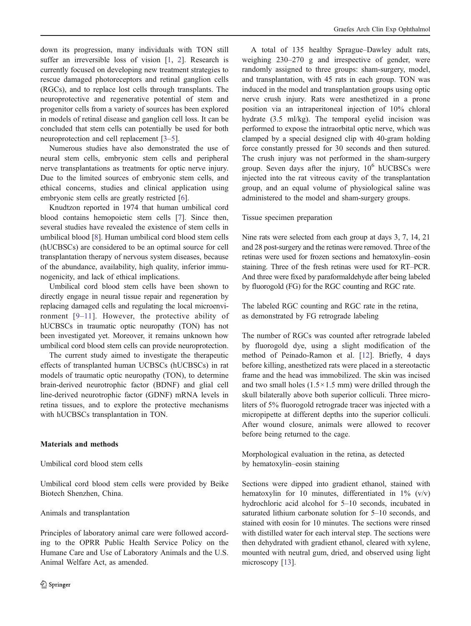down its progression, many individuals with TON still suffer an irreversible loss of vision [[1,](#page-6-0) [2\]](#page-6-0). Research is currently focused on developing new treatment strategies to rescue damaged photoreceptors and retinal ganglion cells (RGCs), and to replace lost cells through transplants. The neuroprotective and regenerative potential of stem and progenitor cells from a variety of sources has been explored in models of retinal disease and ganglion cell loss. It can be concluded that stem cells can potentially be used for both neuroprotection and cell replacement [[3](#page-6-0)–[5\]](#page-6-0).

Numerous studies have also demonstrated the use of neural stem cells, embryonic stem cells and peripheral nerve transplantations as treatments for optic nerve injury. Due to the limited sources of embryonic stem cells, and ethical concerns, studies and clinical application using embryonic stem cells are greatly restricted [[6\]](#page-6-0).

Knudtzon reported in 1974 that human umbilical cord blood contains hemopoietic stem cells [\[7](#page-6-0)]. Since then, several studies have revealed the existence of stem cells in umbilical blood [\[8](#page-6-0)]. Human umbilical cord blood stem cells (hUCBSCs) are considered to be an optimal source for cell transplantation therapy of nervous system diseases, because of the abundance, availability, high quality, inferior immunogenicity, and lack of ethical implications.

Umbilical cord blood stem cells have been shown to directly engage in neural tissue repair and regeneration by replacing damaged cells and regulating the local microenvironment [[9](#page-6-0)–[11\]](#page-6-0). However, the protective ability of hUCBSCs in traumatic optic neuropathy (TON) has not been investigated yet. Moreover, it remains unknown how umbilical cord blood stem cells can provide neuroprotection.

The current study aimed to investigate the therapeutic effects of transplanted human UCBSCs (hUCBSCs) in rat models of traumatic optic neuropathy (TON), to determine brain-derived neurotrophic factor (BDNF) and glial cell line-derived neurotrophic factor (GDNF) mRNA levels in retina tissues, and to explore the protective mechanisms with hUCBSCs transplantation in TON.

## Materials and methods

Umbilical cord blood stem cells

Umbilical cord blood stem cells were provided by Beike Biotech Shenzhen, China.

## Animals and transplantation

Principles of laboratory animal care were followed according to the OPRR Public Health Service Policy on the Humane Care and Use of Laboratory Animals and the U.S. Animal Welfare Act, as amended.

A total of 135 healthy Sprague–Dawley adult rats, weighing 230–270 g and irrespective of gender, were randomly assigned to three groups: sham-surgery, model, and transplantation, with 45 rats in each group. TON was induced in the model and transplantation groups using optic nerve crush injury. Rats were anesthetized in a prone position via an intraperitoneal injection of 10% chloral hydrate (3.5 ml/kg). The temporal eyelid incision was performed to expose the intraorbital optic nerve, which was clamped by a special designed clip with 40-gram holding force constantly pressed for 30 seconds and then sutured. The crush injury was not performed in the sham-surgery group. Seven days after the injury,  $10^6$  hUCBSCs were injected into the rat vitreous cavity of the transplantation group, and an equal volume of physiological saline was administered to the model and sham-surgery groups.

# Tissue specimen preparation

Nine rats were selected from each group at days 3, 7, 14, 21 and 28 post-surgery and the retinas were removed. Three of the retinas were used for frozen sections and hematoxylin–eosin staining. Three of the fresh retinas were used for RT–PCR. And three were fixed by paraformaldehyde after being labeled by fluorogold (FG) for the RGC counting and RGC rate.

The labeled RGC counting and RGC rate in the retina, as demonstrated by FG retrograde labeling

The number of RGCs was counted after retrograde labeled by fluorogold dye, using a slight modification of the method of Peinado-Ramon et al. [[12\]](#page-6-0). Briefly, 4 days before killing, anesthetized rats were placed in a stereotactic frame and the head was immobilized. The skin was incised and two small holes  $(1.5 \times 1.5 \text{ mm})$  were drilled through the skull bilaterally above both superior colliculi. Three microliters of 5% fluorogold retrograde tracer was injected with a micropipette at different depths into the superior colliculi. After wound closure, animals were allowed to recover before being returned to the cage.

Morphological evaluation in the retina, as detected by hematoxylin–eosin staining

Sections were dipped into gradient ethanol, stained with hematoxylin for 10 minutes, differentiated in  $1\%$  (v/v) hydrochloric acid alcohol for 5–10 seconds, incubated in saturated lithium carbonate solution for 5–10 seconds, and stained with eosin for 10 minutes. The sections were rinsed with distilled water for each interval step. The sections were then dehydrated with gradient ethanol, cleared with xylene, mounted with neutral gum, dried, and observed using light microscopy [[13\]](#page-6-0).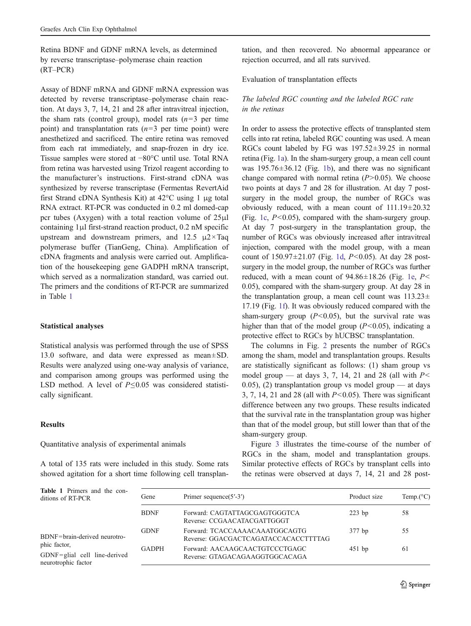Retina BDNF and GDNF mRNA levels, as determined by reverse transcriptase–polymerase chain reaction (RT–PCR)

Assay of BDNF mRNA and GDNF mRNA expression was detected by reverse transcriptase–polymerase chain reaction. At days 3, 7, 14, 21 and 28 after intravitreal injection, the sham rats (control group), model rats  $(n=3$  per time point) and transplantation rats  $(n=3$  per time point) were anesthetized and sacrificed. The entire retina was removed from each rat immediately, and snap-frozen in dry ice. Tissue samples were stored at −80°C until use. Total RNA from retina was harvested using Trizol reagent according to the manufacturer's instructions. First-strand cDNA was synthesized by reverse transcriptase (Fermentas RevertAid first Strand cDNA Synthesis Kit) at 42°C using 1 μg total RNA extract. RT-PCR was conducted in 0.2 ml domed-cap pcr tubes (Axygen) with a total reaction volume of 25μl containing 1μl first-strand reaction product, 0.2 nM specific upstream and downstream primers, and  $12.5 \mu2 \times Taq$ polymerase buffer (TianGeng, China). Amplification of cDNA fragments and analysis were carried out. Amplification of the housekeeping gene GADPH mRNA transcript, which served as a normalization standard, was carried out. The primers and the conditions of RT-PCR are summarized in Table 1

### Statistical analyses

Statistical analysis was performed through the use of SPSS 13.0 software, and data were expressed as mean±SD. Results were analyzed using one-way analysis of variance, and comparison among groups was performed using the LSD method. A level of P≤0.05 was considered statistically significant.

## Results

Quantitative analysis of experimental animals

A total of 135 rats were included in this study. Some rats showed agitation for a short time following cell transplan-

tation, and then recovered. No abnormal appearance or rejection occurred, and all rats survived.

Evaluation of transplantation effects

## The labeled RGC counting and the labeled RGC rate in the retinas

In order to assess the protective effects of transplanted stem cells into rat retina, labeled RGC counting was used. A mean RGCs count labeled by FG was 197.52±39.25 in normal retina (Fig. [1a\)](#page-3-0). In the sham-surgery group, a mean cell count was 195.76±36.12 (Fig. [1b](#page-3-0)), and there was no significant change compared with normal retina  $(P>0.05)$ . We choose two points at days 7 and 28 for illustration. At day 7 postsurgery in the model group, the number of RGCs was obviously reduced, with a mean count of 111.19±20.32 (Fig. [1c,](#page-3-0)  $P \le 0.05$ ), compared with the sham-surgery group. At day 7 post-surgery in the transplantation group, the number of RGCs was obviously increased after intravitreal injection, compared with the model group, with a mean count of  $150.97 \pm 21.07$  (Fig. [1d,](#page-3-0) P<0.05). At day 28 postsurgery in the model group, the number of RGCs was further reduced, with a mean count of  $94.86 \pm 18.26$  (Fig. [1e](#page-3-0), P< 0.05), compared with the sham-surgery group. At day 28 in the transplantation group, a mean cell count was  $113.23 \pm$ 17.19 (Fig. [1f\)](#page-3-0). It was obviously reduced compared with the sham-surgery group  $(P<0.05)$ , but the survival rate was higher than that of the model group  $(P<0.05)$ , indicating a protective effect to RGCs by hUCBSC transplantation.

The columns in Fig. [2](#page-3-0) presents the number of RGCs among the sham, model and transplantation groups. Results are statistically significant as follows: (1) sham group vs model group — at days 3, 7, 14, 21 and 28 (all with  $P<$ 0.05), (2) transplantation group vs model group — at days 3, 7, 14, 21 and 28 (all with  $P<0.05$ ). There was significant difference between any two groups. These results indicated that the survival rate in the transplantation group was higher than that of the model group, but still lower than that of the sham-surgery group.

Figure [3](#page-3-0) illustrates the time-course of the number of RGCs in the sham, model and transplantation groups. Similar protective effects of RGCs by transplant cells into the retinas were observed at days 7, 14, 21 and 28 post-

| <b>Table 1</b> Primers and the con-<br>ditions of RT-PCR                                                       | Gene         | Primer sequence $(5'$ -3')                                             | Product size | Temp. $(^{\circ}C)$ |
|----------------------------------------------------------------------------------------------------------------|--------------|------------------------------------------------------------------------|--------------|---------------------|
|                                                                                                                | <b>BDNF</b>  | Forward: CAGTATTAGCGAGTGGGTCA<br>Reverse: CCGAACATACGATTGGGT           | $223$ bp     | 58                  |
| BDNF=brain-derived neurotro-<br>phic factor,<br>$GDNF = \text{glial cell line-derived}$<br>neurotrophic factor | <b>GDNF</b>  | Forward: TCACCAAAACAAATGGCAGTG<br>Reverse: GGACGACTCAGATACCACACCTTTTAG | $377$ bp     | 55                  |
|                                                                                                                | <b>GADPH</b> | Forward: AACAAGCAACTGTCCCTGAGC<br>Reverse: GTAGACAGAAGGTGGCACAGA       | $451$ bp     | 61                  |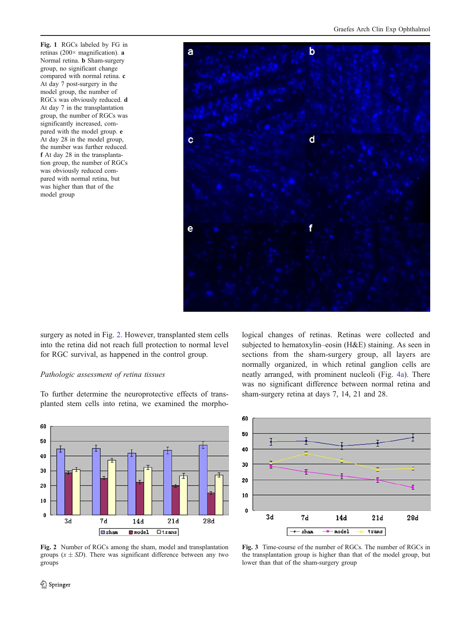<span id="page-3-0"></span>Fig. 1 RGCs labeled by FG in retinas (200× magnification). a Normal retina. b Sham-surgery group, no significant change compared with normal retina. c At day 7 post-surgery in the model group, the number of RGCs was obviously reduced. d At day 7 in the transplantation group, the number of RGCs was significantly increased, compared with the model group. e At day 28 in the model group, the number was further reduced. f At day 28 in the transplantation group, the number of RGCs was obviously reduced compared with normal retina, but was higher than that of the model group



surgery as noted in Fig. 2. However, transplanted stem cells into the retina did not reach full protection to normal level for RGC survival, as happened in the control group.

## Pathologic assessment of retina tissues

To further determine the neuroprotective effects of transplanted stem cells into retina, we examined the morpho-



Fig. 2 Number of RGCs among the sham, model and transplantation groups  $(x \pm SD)$ . There was significant difference between any two groups

logical changes of retinas. Retinas were collected and subjected to hematoxylin–eosin (H&E) staining. As seen in sections from the sham-surgery group, all layers are normally organized, in which retinal ganglion cells are neatly arranged, with prominent nucleoli (Fig. [4a](#page-4-0)). There was no significant difference between normal retina and sham-surgery retina at days 7, 14, 21 and 28.



Fig. 3 Time-course of the number of RGCs. The number of RGCs in the transplantation group is higher than that of the model group, but lower than that of the sham-surgery group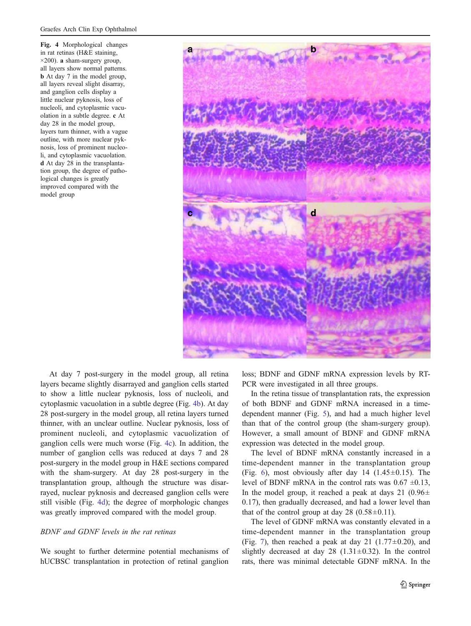<span id="page-4-0"></span>Fig. 4 Morphological changes in rat retinas (H&E staining,  $\times$ 200). **a** sham-surgery group, all layers show normal patterns. b At day 7 in the model group, all layers reveal slight disarray, and ganglion cells display a little nuclear pyknosis, loss of nucleoli, and cytoplasmic vacuolation in a subtle degree. c At day 28 in the model group, layers turn thinner, with a vague outline, with more nuclear pyknosis, loss of prominent nucleoli, and cytoplasmic vacuolation. d At day 28 in the transplantation group, the degree of pathological changes is greatly improved compared with the model group



At day 7 post-surgery in the model group, all retina layers became slightly disarrayed and ganglion cells started to show a little nuclear pyknosis, loss of nucleoli, and cytoplasmic vacuolation in a subtle degree (Fig. 4b). At day 28 post-surgery in the model group, all retina layers turned thinner, with an unclear outline. Nuclear pyknosis, loss of prominent nucleoli, and cytoplasmic vacuolization of ganglion cells were much worse (Fig. 4c). In addition, the number of ganglion cells was reduced at days 7 and 28 post-surgery in the model group in H&E sections compared with the sham-surgery. At day 28 post-surgery in the transplantation group, although the structure was disarrayed, nuclear pyknosis and decreased ganglion cells were still visible (Fig. 4d); the degree of morphologic changes was greatly improved compared with the model group.

## BDNF and GDNF levels in the rat retinas

We sought to further determine potential mechanisms of hUCBSC transplantation in protection of retinal ganglion

loss; BDNF and GDNF mRNA expression levels by RT-PCR were investigated in all three groups.

In the retina tissue of transplantation rats, the expression of both BDNF and GDNF mRNA increased in a timedependent manner (Fig. [5](#page-5-0)), and had a much higher level than that of the control group (the sham-surgery group). However, a small amount of BDNF and GDNF mRNA expression was detected in the model group.

The level of BDNF mRNA constantly increased in a time-dependent manner in the transplantation group (Fig. [6](#page-5-0)), most obviously after day  $14$  (1.45 $\pm$ 0.15). The level of BDNF mRNA in the control rats was  $0.67 \pm 0.13$ , In the model group, it reached a peak at days 21 (0.96 $\pm$ 0.17), then gradually decreased, and had a lower level than that of the control group at day  $28$  (0.58 $\pm$ 0.11).

The level of GDNF mRNA was constantly elevated in a time-dependent manner in the transplantation group (Fig. [7](#page-5-0)), then reached a peak at day 21 (1.77 $\pm$ 0.20), and slightly decreased at day 28 (1.31 $\pm$ 0.32). In the control rats, there was minimal detectable GDNF mRNA. In the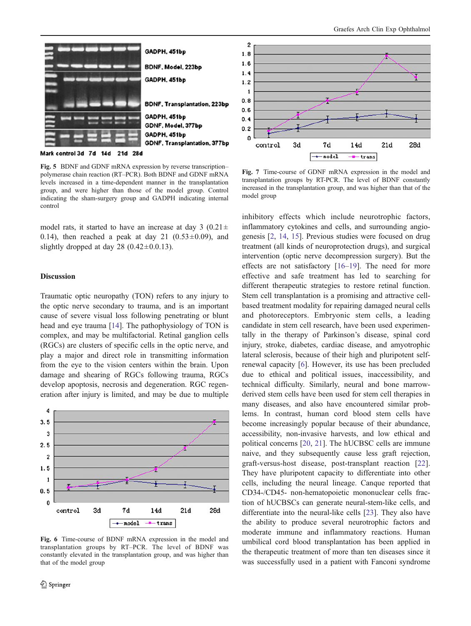<span id="page-5-0"></span>

Fig. 5 BDNF and GDNF mRNA expression by reverse transcription– polymerase chain reaction (RT–PCR). Both BDNF and GDNF mRNA levels increased in a time-dependent manner in the transplantation group, and were higher than those of the model group. Control indicating the sham-surgery group and GADPH indicating internal control

model rats, it started to have an increase at day 3  $(0.21 \pm$ 0.14), then reached a peak at day 21 (0.53 $\pm$ 0.09), and slightly dropped at day  $28$  (0.42 $\pm$ 0.0.13).

## Discussion

Traumatic optic neuropathy (TON) refers to any injury to the optic nerve secondary to trauma, and is an important cause of severe visual loss following penetrating or blunt head and eye trauma [[14\]](#page-6-0). The pathophysiology of TON is complex, and may be multifactorial. Retinal ganglion cells (RGCs) are clusters of specific cells in the optic nerve, and play a major and direct role in transmitting information from the eye to the vision centers within the brain. Upon damage and shearing of RGCs following trauma, RGCs develop apoptosis, necrosis and degeneration. RGC regeneration after injury is limited, and may be due to multiple



Fig. 6 Time-course of BDNF mRNA expression in the model and transplantation groups by RT–PCR. The level of BDNF was constantly elevated in the transplantation group, and was higher than that of the model group



Fig. 7 Time-course of GDNF mRNA expression in the model and transplantation groups by RT-PCR. The level of BDNF constantly increased in the transplantation group, and was higher than that of the model group

inhibitory effects which include neurotrophic factors, inflammatory cytokines and cells, and surrounding angiogenesis [[2,](#page-6-0) [14,](#page-6-0) [15](#page-6-0)]. Previous studies were focused on drug treatment (all kinds of neuroprotection drugs), and surgical intervention (optic nerve decompression surgery). But the effects are not satisfactory [[16](#page-6-0)–[19\]](#page-7-0). The need for more effective and safe treatment has led to searching for different therapeutic strategies to restore retinal function. Stem cell transplantation is a promising and attractive cellbased treatment modality for repairing damaged neural cells and photoreceptors. Embryonic stem cells, a leading candidate in stem cell research, have been used experimentally in the therapy of Parkinson's disease, spinal cord injury, stroke, diabetes, cardiac disease, and amyotrophic lateral sclerosis, because of their high and pluripotent selfrenewal capacity [\[6](#page-6-0)]. However, its use has been precluded due to ethical and political issues, inaccessibility, and technical difficulty. Similarly, neural and bone marrowderived stem cells have been used for stem cell therapies in many diseases, and also have encountered similar problems. In contrast, human cord blood stem cells have become increasingly popular because of their abundance, accessibility, non-invasive harvests, and low ethical and political concerns [[20,](#page-7-0) [21](#page-7-0)]. The hUCBSC cells are immune naive, and they subsequently cause less graft rejection, graft-versus-host disease, post-transplant reaction [\[22](#page-7-0)]. They have pluripotent capacity to differentiate into other cells, including the neural lineage. Canque reported that CD34-/CD45- non-hematopoietic mononuclear cells fraction of hUCBSCs can generate neural-stem-like cells, and differentiate into the neural-like cells [[23\]](#page-7-0). They also have the ability to produce several neurotrophic factors and moderate immune and inflammatory reactions. Human umbilical cord blood transplantation has been applied in the therapeutic treatment of more than ten diseases since it was successfully used in a patient with Fanconi syndrome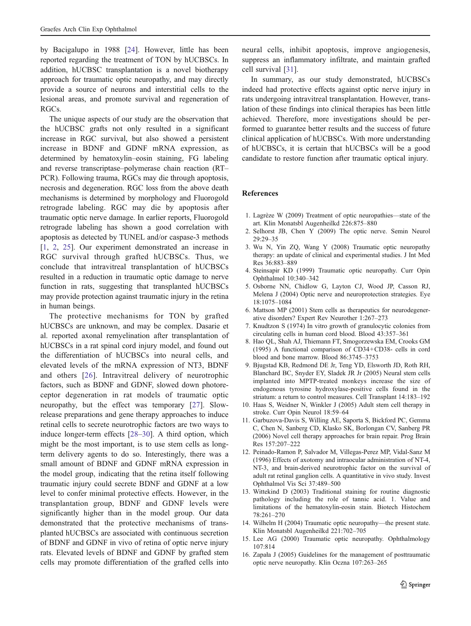<span id="page-6-0"></span>by Bacigalupo in 1988 [\[24](#page-7-0)]. However, little has been reported regarding the treatment of TON by hUCBSCs. In addition, hUCBSC transplantation is a novel biotherapy approach for traumatic optic neuropathy, and may directly provide a source of neurons and interstitial cells to the lesional areas, and promote survival and regeneration of RGCs.

The unique aspects of our study are the observation that the hUCBSC grafts not only resulted in a significant increase in RGC survival, but also showed a persistent increase in BDNF and GDNF mRNA expression, as determined by hematoxylin–eosin staining, FG labeling and reverse transcriptase–polymerase chain reaction (RT– PCR). Following trauma, RGCs may die through apoptosis, necrosis and degeneration. RGC loss from the above death mechanisms is determined by morphology and Fluorogold retrograde labeling. RGC may die by apoptosis after traumatic optic nerve damage. In earlier reports, Fluorogold retrograde labeling has shown a good correlation with apoptosis as detected by TUNEL and/or caspase-3 methods [1, 2, [25\]](#page-7-0). Our experiment demonstrated an increase in RGC survival through grafted hUCBSCs. Thus, we conclude that intravitreal transplantation of hUCBSCs resulted in a reduction in traumatic optic damage to nerve function in rats, suggesting that transplanted hUCBSCs may provide protection against traumatic injury in the retina in human beings.

The protective mechanisms for TON by grafted hUCBSCs are unknown, and may be complex. Dasarie et al. reported axonal remyelination after transplantation of hUCBSCs in a rat spinal cord injury model, and found out the differentiation of hUCBSCs into neural cells, and elevated levels of the mRNA expression of NT3, BDNF and others [\[26](#page-7-0)]. Intravitreal delivery of neurotrophic factors, such as BDNF and GDNF, slowed down photoreceptor degeneration in rat models of traumatic optic neuropathy, but the effect was temporary [\[27](#page-7-0)]. Slowrelease preparations and gene therapy approaches to induce retinal cells to secrete neurotrophic factors are two ways to induce longer-term effects [[28](#page-7-0)–[30\]](#page-7-0). A third option, which might be the most important, is to use stem cells as longterm delivery agents to do so. Interestingly, there was a small amount of BDNF and GDNF mRNA expression in the model group, indicating that the retina itself following traumatic injury could secrete BDNF and GDNF at a low level to confer minimal protective effects. However, in the transplantation group, BDNF and GDNF levels were significantly higher than in the model group. Our data demonstrated that the protective mechanisms of transplanted hUCBSCs are associated with continuous secretion of BDNF and GDNF in vivo of retina of optic nerve injury rats. Elevated levels of BDNF and GDNF by grafted stem cells may promote differentiation of the grafted cells into

neural cells, inhibit apoptosis, improve angiogenesis, suppress an inflammatory infiltrate, and maintain grafted cell survival [[31\]](#page-7-0).

In summary, as our study demonstrated, hUCBSCs indeed had protective effects against optic nerve injury in rats undergoing intravitreal transplantation. However, translation of these findings into clinical therapies has been little achieved. Therefore, more investigations should be performed to guarantee better results and the success of future clinical application of hUCBSCs. With more understanding of hUCBSCs, it is certain that hUCBSCs will be a good candidate to restore function after traumatic optical injury.

#### References

- 1. Lagrèze W (2009) Treatment of optic neuropathies—state of the art. Klin Monatsbl Augenheilkd 226:875–880
- 2. Selhorst JB, Chen Y (2009) The optic nerve. Semin Neurol 29:29–35
- 3. Wu N, Yin ZQ, Wang Y (2008) Traumatic optic neuropathy therapy: an update of clinical and experimental studies. J Int Med Res 36:883–889
- 4. Steinsapir KD (1999) Traumatic optic neuropathy. Curr Opin Ophthalmol 10:340–342
- 5. Osborne NN, Chidlow G, Layton CJ, Wood JP, Casson RJ, Melena J (2004) Optic nerve and neuroprotection strategies. Eye 18:1075–1084
- 6. Mattson MP (2001) Stem cells as therapeutics for neurodegenerative disorders? Expert Rev Neurother 1:267–273
- 7. Knudtzon S (1974) In vitro growth of granulocytic colonies from circulating cells in human cord blood. Blood 43:357–361
- 8. Hao QL, Shah AJ, Thiemann FT, Smogorzewska EM, Crooks GM (1995) A functional comparison of CD34+CD38- cells in cord blood and bone marrow. Blood 86:3745–3753
- 9. Bjugstad KB, Redmond DE Jr, Teng YD, Elsworth JD, Roth RH, Blanchard BC, Snyder EY, Sladek JR Jr (2005) Neural stem cells implanted into MPTP-treated monkeys increase the size of endogenous tyrosine hydroxylase-positive cells found in the striatum: a return to control measures. Cell Transplant 14:183–192
- 10. Haas S, Weidner N, Winkler J (2005) Adult stem cell therapy in stroke. Curr Opin Neurol 18:59–64
- 11. Garbuzova-Davis S, Willing AE, Saporta S, Bickford PC, Gemma C, Chen N, Sanberg CD, Klasko SK, Borlongan CV, Sanberg PR (2006) Novel cell therapy approaches for brain repair. Prog Brain Res 157:207–222
- 12. Peinado-Ramon P, Salvador M, Villegas-Perez MP, Vidal-Sanz M (1996) Effects of axotomy and intraocular administration of NT-4, NT-3, and brain-derived neurotrophic factor on the survival of adult rat retinal ganglion cells. A quantitative in vivo study. Invest Ophthalmol Vis Sci 37:489–500
- 13. Wittekind D (2003) Traditional staining for routine diagnostic pathology including the role of tannic acid. 1. Value and limitations of the hematoxylin-eosin stain. Biotech Histochem 78:261–270
- 14. Wilhelm H (2004) Traumatic optic neuropathy—the present state. Klin Monatsbl Augenheilkd 221:702–705
- 15. Lee AG (2000) Traumatic optic neuropathy. Ophthalmology 107:814
- 16. Zapała J (2005) Guidelines for the management of posttraumatic optic nerve neuropathy. Klin Oczna 107:263–265